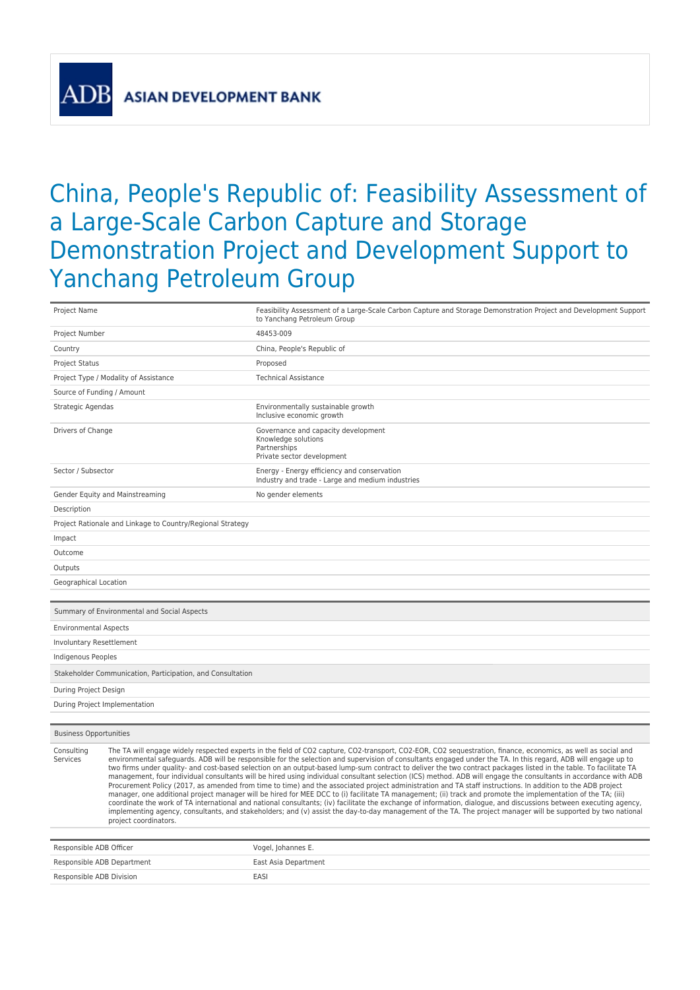**ASIAN DEVELOPMENT BANK** 

## China, People's Republic of: Feasibility Assessment of a Large-Scale Carbon Capture and Storage Demonstration Project and Development Support to Yanchang Petroleum Group

| Project Name                                    |                                                            | Feasibility Assessment of a Large-Scale Carbon Capture and Storage Demonstration Project and Development Support<br>to Yanchang Petroleum Group                                                                                                                                                                                                                                                                                                                                                                                                                                                                                                                                                                                                                                                                                                                                                                                                                                                                                                                                                                                                                                                                                                                                                                                                 |
|-------------------------------------------------|------------------------------------------------------------|-------------------------------------------------------------------------------------------------------------------------------------------------------------------------------------------------------------------------------------------------------------------------------------------------------------------------------------------------------------------------------------------------------------------------------------------------------------------------------------------------------------------------------------------------------------------------------------------------------------------------------------------------------------------------------------------------------------------------------------------------------------------------------------------------------------------------------------------------------------------------------------------------------------------------------------------------------------------------------------------------------------------------------------------------------------------------------------------------------------------------------------------------------------------------------------------------------------------------------------------------------------------------------------------------------------------------------------------------|
| Project Number                                  |                                                            | 48453-009                                                                                                                                                                                                                                                                                                                                                                                                                                                                                                                                                                                                                                                                                                                                                                                                                                                                                                                                                                                                                                                                                                                                                                                                                                                                                                                                       |
| Country                                         |                                                            | China, People's Republic of                                                                                                                                                                                                                                                                                                                                                                                                                                                                                                                                                                                                                                                                                                                                                                                                                                                                                                                                                                                                                                                                                                                                                                                                                                                                                                                     |
| <b>Project Status</b>                           |                                                            | Proposed                                                                                                                                                                                                                                                                                                                                                                                                                                                                                                                                                                                                                                                                                                                                                                                                                                                                                                                                                                                                                                                                                                                                                                                                                                                                                                                                        |
| Project Type / Modality of Assistance           |                                                            | <b>Technical Assistance</b>                                                                                                                                                                                                                                                                                                                                                                                                                                                                                                                                                                                                                                                                                                                                                                                                                                                                                                                                                                                                                                                                                                                                                                                                                                                                                                                     |
| Source of Funding / Amount                      |                                                            |                                                                                                                                                                                                                                                                                                                                                                                                                                                                                                                                                                                                                                                                                                                                                                                                                                                                                                                                                                                                                                                                                                                                                                                                                                                                                                                                                 |
| Strategic Agendas                               |                                                            | Environmentally sustainable growth<br>Inclusive economic growth                                                                                                                                                                                                                                                                                                                                                                                                                                                                                                                                                                                                                                                                                                                                                                                                                                                                                                                                                                                                                                                                                                                                                                                                                                                                                 |
| Drivers of Change                               |                                                            | Governance and capacity development<br>Knowledge solutions<br>Partnerships<br>Private sector development                                                                                                                                                                                                                                                                                                                                                                                                                                                                                                                                                                                                                                                                                                                                                                                                                                                                                                                                                                                                                                                                                                                                                                                                                                        |
| Sector / Subsector                              |                                                            | Energy - Energy efficiency and conservation<br>Industry and trade - Large and medium industries                                                                                                                                                                                                                                                                                                                                                                                                                                                                                                                                                                                                                                                                                                                                                                                                                                                                                                                                                                                                                                                                                                                                                                                                                                                 |
| Gender Equity and Mainstreaming                 |                                                            | No gender elements                                                                                                                                                                                                                                                                                                                                                                                                                                                                                                                                                                                                                                                                                                                                                                                                                                                                                                                                                                                                                                                                                                                                                                                                                                                                                                                              |
| Description                                     |                                                            |                                                                                                                                                                                                                                                                                                                                                                                                                                                                                                                                                                                                                                                                                                                                                                                                                                                                                                                                                                                                                                                                                                                                                                                                                                                                                                                                                 |
|                                                 | Project Rationale and Linkage to Country/Regional Strategy |                                                                                                                                                                                                                                                                                                                                                                                                                                                                                                                                                                                                                                                                                                                                                                                                                                                                                                                                                                                                                                                                                                                                                                                                                                                                                                                                                 |
| Impact                                          |                                                            |                                                                                                                                                                                                                                                                                                                                                                                                                                                                                                                                                                                                                                                                                                                                                                                                                                                                                                                                                                                                                                                                                                                                                                                                                                                                                                                                                 |
| Outcome                                         |                                                            |                                                                                                                                                                                                                                                                                                                                                                                                                                                                                                                                                                                                                                                                                                                                                                                                                                                                                                                                                                                                                                                                                                                                                                                                                                                                                                                                                 |
| Outputs                                         |                                                            |                                                                                                                                                                                                                                                                                                                                                                                                                                                                                                                                                                                                                                                                                                                                                                                                                                                                                                                                                                                                                                                                                                                                                                                                                                                                                                                                                 |
| Geographical Location                           |                                                            |                                                                                                                                                                                                                                                                                                                                                                                                                                                                                                                                                                                                                                                                                                                                                                                                                                                                                                                                                                                                                                                                                                                                                                                                                                                                                                                                                 |
|                                                 |                                                            |                                                                                                                                                                                                                                                                                                                                                                                                                                                                                                                                                                                                                                                                                                                                                                                                                                                                                                                                                                                                                                                                                                                                                                                                                                                                                                                                                 |
| Summary of Environmental and Social Aspects     |                                                            |                                                                                                                                                                                                                                                                                                                                                                                                                                                                                                                                                                                                                                                                                                                                                                                                                                                                                                                                                                                                                                                                                                                                                                                                                                                                                                                                                 |
| <b>Environmental Aspects</b>                    |                                                            |                                                                                                                                                                                                                                                                                                                                                                                                                                                                                                                                                                                                                                                                                                                                                                                                                                                                                                                                                                                                                                                                                                                                                                                                                                                                                                                                                 |
| Involuntary Resettlement                        |                                                            |                                                                                                                                                                                                                                                                                                                                                                                                                                                                                                                                                                                                                                                                                                                                                                                                                                                                                                                                                                                                                                                                                                                                                                                                                                                                                                                                                 |
| Indigenous Peoples                              |                                                            |                                                                                                                                                                                                                                                                                                                                                                                                                                                                                                                                                                                                                                                                                                                                                                                                                                                                                                                                                                                                                                                                                                                                                                                                                                                                                                                                                 |
|                                                 | Stakeholder Communication, Participation, and Consultation |                                                                                                                                                                                                                                                                                                                                                                                                                                                                                                                                                                                                                                                                                                                                                                                                                                                                                                                                                                                                                                                                                                                                                                                                                                                                                                                                                 |
| During Project Design                           |                                                            |                                                                                                                                                                                                                                                                                                                                                                                                                                                                                                                                                                                                                                                                                                                                                                                                                                                                                                                                                                                                                                                                                                                                                                                                                                                                                                                                                 |
| During Project Implementation                   |                                                            |                                                                                                                                                                                                                                                                                                                                                                                                                                                                                                                                                                                                                                                                                                                                                                                                                                                                                                                                                                                                                                                                                                                                                                                                                                                                                                                                                 |
|                                                 |                                                            |                                                                                                                                                                                                                                                                                                                                                                                                                                                                                                                                                                                                                                                                                                                                                                                                                                                                                                                                                                                                                                                                                                                                                                                                                                                                                                                                                 |
| <b>Business Opportunities</b>                   |                                                            |                                                                                                                                                                                                                                                                                                                                                                                                                                                                                                                                                                                                                                                                                                                                                                                                                                                                                                                                                                                                                                                                                                                                                                                                                                                                                                                                                 |
| Consulting<br>Services<br>project coordinators. |                                                            | The TA will engage widely respected experts in the field of CO2 capture, CO2-transport, CO2-EOR, CO2 sequestration, finance, economics, as well as social and<br>environmental safequards. ADB will be responsible for the selection and supervision of consultants engaged under the TA. In this regard, ADB will engage up to<br>two firms under quality- and cost-based selection on an output-based lump-sum contract to deliver the two contract packages listed in the table. To facilitate TA<br>management, four individual consultants will be hired using individual consultant selection (ICS) method. ADB will engage the consultants in accordance with ADB<br>Procurement Policy (2017, as amended from time to time) and the associated project administration and TA staff instructions. In addition to the ADB project<br>manager, one additional project manager will be hired for MEE DCC to (i) facilitate TA management; (ii) track and promote the implementation of the TA; (iii)<br>coordinate the work of TA international and national consultants; (iv) facilitate the exchange of information, dialogue, and discussions between executing agency,<br>implementing agency, consultants, and stakeholders; and (v) assist the day-to-day management of the TA. The project manager will be supported by two national |
| Responsible ADB Officer                         |                                                            | Vogel, Johannes E.                                                                                                                                                                                                                                                                                                                                                                                                                                                                                                                                                                                                                                                                                                                                                                                                                                                                                                                                                                                                                                                                                                                                                                                                                                                                                                                              |
| Responsible ADB Department                      |                                                            | East Asia Department                                                                                                                                                                                                                                                                                                                                                                                                                                                                                                                                                                                                                                                                                                                                                                                                                                                                                                                                                                                                                                                                                                                                                                                                                                                                                                                            |